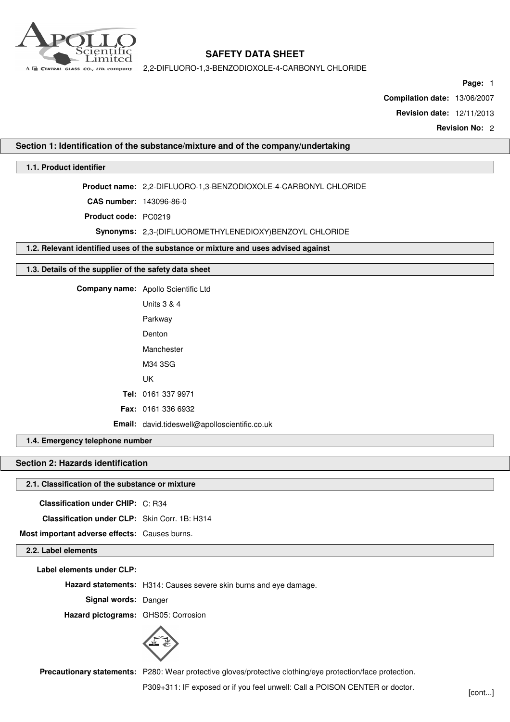

2,2-DIFLUORO-1,3-BENZODIOXOLE-4-CARBONYL CHLORIDE

**Page:** 1

**Compilation date:** 13/06/2007

**Revision date:** 12/11/2013

**Revision No:** 2

## **Section 1: Identification of the substance/mixture and of the company/undertaking**

# **1.1. Product identifier**

**Product name:** 2,2-DIFLUORO-1,3-BENZODIOXOLE-4-CARBONYL CHLORIDE

**CAS number:** 143096-86-0

**Product code:** PC0219

**Synonyms:** 2,3-(DIFLUOROMETHYLENEDIOXY)BENZOYL CHLORIDE

**1.2. Relevant identified uses of the substance or mixture and uses advised against**

#### **1.3. Details of the supplier of the safety data sheet**

**Company name:** Apollo Scientific Ltd Units 3 & 4

Parkway Denton Manchester M34 3SG UK **Tel:** 0161 337 9971 **Fax:** 0161 336 6932 **Email:** david.tideswell@apolloscientific.co.uk

**1.4. Emergency telephone number**

# **Section 2: Hazards identification**

## **2.1. Classification of the substance or mixture**

**Classification under CHIP:** C: R34

**Classification under CLP:** Skin Corr. 1B: H314

**Most important adverse effects:** Causes burns.

# **2.2. Label elements**

**Label elements under CLP:**

**Hazard statements:** H314: Causes severe skin burns and eye damage.

**Signal words:** Danger

**Hazard pictograms:** GHS05: Corrosion



**Precautionary statements:** P280: Wear protective gloves/protective clothing/eye protection/face protection.

P309+311: IF exposed or if you feel unwell: Call a POISON CENTER or doctor.<br>[cont...]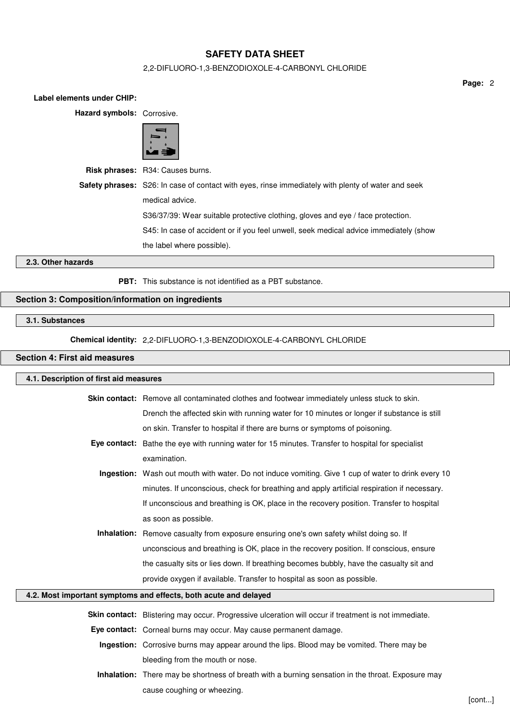## 2,2-DIFLUORO-1,3-BENZODIOXOLE-4-CARBONYL CHLORIDE

**Page:** 2

| Hazard symbols: Corrosive. |                                                                                                           |
|----------------------------|-----------------------------------------------------------------------------------------------------------|
|                            |                                                                                                           |
|                            | Risk phrases: R34: Causes burns.                                                                          |
|                            | <b>Safety phrases:</b> S26: In case of contact with eyes, rinse immediately with plenty of water and seek |
|                            | medical advice.                                                                                           |
|                            | S36/37/39: Wear suitable protective clothing, gloves and eye / face protection.                           |
|                            | S45: In case of accident or if you feel unwell, seek medical advice immediately (show                     |
|                            | the label where possible).                                                                                |
| 2.3. Other hazards         |                                                                                                           |
|                            |                                                                                                           |

**PBT:** This substance is not identified as a PBT substance.

# **Section 3: Composition/information on ingredients**

# **3.1. Substances**

## **Chemical identity:** 2,2-DIFLUORO-1,3-BENZODIOXOLE-4-CARBONYL CHLORIDE

# **Section 4: First aid measures**

**Label elements under CHIP:**

| 4.1. Description of first aid measures                           |                                                                                                      |  |  |
|------------------------------------------------------------------|------------------------------------------------------------------------------------------------------|--|--|
|                                                                  | Skin contact: Remove all contaminated clothes and footwear immediately unless stuck to skin.         |  |  |
|                                                                  | Drench the affected skin with running water for 10 minutes or longer if substance is still           |  |  |
|                                                                  | on skin. Transfer to hospital if there are burns or symptoms of poisoning.                           |  |  |
|                                                                  | Eye contact: Bathe the eye with running water for 15 minutes. Transfer to hospital for specialist    |  |  |
|                                                                  | examination.                                                                                         |  |  |
|                                                                  | Ingestion: Wash out mouth with water. Do not induce vomiting. Give 1 cup of water to drink every 10  |  |  |
|                                                                  |                                                                                                      |  |  |
|                                                                  | minutes. If unconscious, check for breathing and apply artificial respiration if necessary.          |  |  |
|                                                                  | If unconscious and breathing is OK, place in the recovery position. Transfer to hospital             |  |  |
|                                                                  | as soon as possible.                                                                                 |  |  |
|                                                                  | Inhalation: Remove casualty from exposure ensuring one's own safety whilst doing so. If              |  |  |
|                                                                  | unconscious and breathing is OK, place in the recovery position. If conscious, ensure                |  |  |
|                                                                  | the casualty sits or lies down. If breathing becomes bubbly, have the casualty sit and               |  |  |
|                                                                  | provide oxygen if available. Transfer to hospital as soon as possible.                               |  |  |
| 4.2. Most important symptoms and effects, both acute and delayed |                                                                                                      |  |  |
|                                                                  |                                                                                                      |  |  |
|                                                                  | Skin contact: Blistering may occur. Progressive ulceration will occur if treatment is not immediate. |  |  |
|                                                                  | Eye contact: Corneal burns may occur. May cause permanent damage.                                    |  |  |
|                                                                  | Ingestion: Carrague burne move appear around the line. Plead moving yemited. There moving            |  |  |

**Ingestion:** Corrosive burns may appear around the lips. Blood may be vomited. There may be bleeding from the mouth or nose.

**Inhalation:** There may be shortness of breath with a burning sensation in the throat. Exposure may cause coughing or wheezing.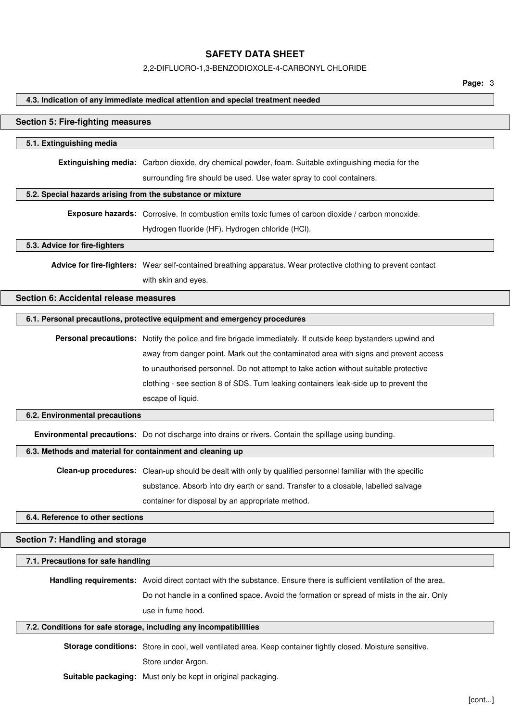2,2-DIFLUORO-1,3-BENZODIOXOLE-4-CARBONYL CHLORIDE

**Page:** 3

#### **4.3. Indication of any immediate medical attention and special treatment needed**

#### **Section 5: Fire-fighting measures**

#### **5.1. Extinguishing media**

**Extinguishing media:** Carbon dioxide, dry chemical powder, foam. Suitable extinguishing media for the surrounding fire should be used. Use water spray to cool containers.

#### **5.2. Special hazards arising from the substance or mixture**

**Exposure hazards:** Corrosive. In combustion emits toxic fumes of carbon dioxide / carbon monoxide. Hydrogen fluoride (HF). Hydrogen chloride (HCl).

#### **5.3. Advice for fire-fighters**

**Advice for fire-fighters:** Wear self-contained breathing apparatus. Wear protective clothing to prevent contact with skin and eyes.

# **Section 6: Accidental release measures**

#### **6.1. Personal precautions, protective equipment and emergency procedures**

**Personal precautions:** Notify the police and fire brigade immediately. If outside keep bystanders upwind and away from danger point. Mark out the contaminated area with signs and prevent access to unauthorised personnel. Do not attempt to take action without suitable protective clothing - see section 8 of SDS. Turn leaking containers leak-side up to prevent the escape of liquid.

#### **6.2. Environmental precautions**

**Environmental precautions:** Do not discharge into drains or rivers. Contain the spillage using bunding.

#### **6.3. Methods and material for containment and cleaning up**

**Clean-up procedures:** Clean-up should be dealt with only by qualified personnel familiar with the specific substance. Absorb into dry earth or sand. Transfer to a closable, labelled salvage container for disposal by an appropriate method.

**6.4. Reference to other sections**

#### **Section 7: Handling and storage**

#### **7.1. Precautions for safe handling**

**Handling requirements:** Avoid direct contact with the substance. Ensure there is sufficient ventilation of the area.

Do not handle in a confined space. Avoid the formation or spread of mists in the air. Only use in fume hood.

#### **7.2. Conditions for safe storage, including any incompatibilities**

**Storage conditions:** Store in cool, well ventilated area. Keep container tightly closed. Moisture sensitive. Store under Argon.

**Suitable packaging:** Must only be kept in original packaging.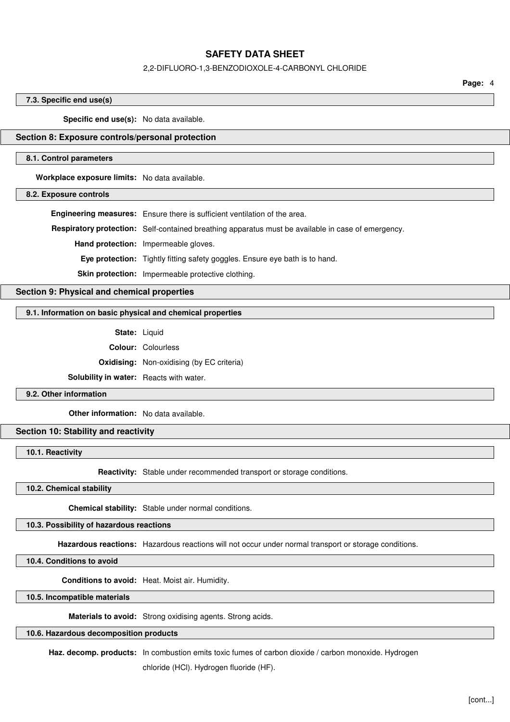#### 2,2-DIFLUORO-1,3-BENZODIOXOLE-4-CARBONYL CHLORIDE

**Page:** 4

#### **7.3. Specific end use(s)**

**Specific end use(s):** No data available.

## **Section 8: Exposure controls/personal protection**

#### **8.1. Control parameters**

**Workplace exposure limits:** No data available.

**8.2. Exposure controls**

**Engineering measures:** Ensure there is sufficient ventilation of the area.

**Respiratory protection:** Self-contained breathing apparatus must be available in case of emergency.

**Hand protection:** Impermeable gloves.

**Eye protection:** Tightly fitting safety goggles. Ensure eye bath is to hand.

**Skin protection:** Impermeable protective clothing.

## **Section 9: Physical and chemical properties**

#### **9.1. Information on basic physical and chemical properties**

**State:** Liquid

**Colour:** Colourless

**Oxidising:** Non-oxidising (by EC criteria)

**Solubility in water:** Reacts with water.

## **9.2. Other information**

**Other information:** No data available.

### **Section 10: Stability and reactivity**

**10.1. Reactivity**

**Reactivity:** Stable under recommended transport or storage conditions.

**10.2. Chemical stability**

**Chemical stability:** Stable under normal conditions.

**10.3. Possibility of hazardous reactions**

**Hazardous reactions:** Hazardous reactions will not occur under normal transport or storage conditions.

**10.4. Conditions to avoid**

**Conditions to avoid:** Heat. Moist air. Humidity.

**10.5. Incompatible materials**

**Materials to avoid:** Strong oxidising agents. Strong acids.

## **10.6. Hazardous decomposition products**

**Haz. decomp. products:** In combustion emits toxic fumes of carbon dioxide / carbon monoxide. Hydrogen

chloride (HCl). Hydrogen fluoride (HF).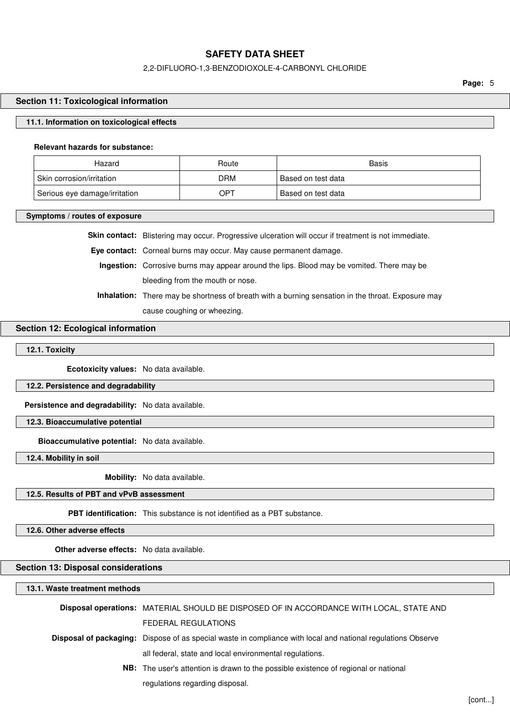## 2,2-DIFLUORO-1,3-BENZODIOXOLE-4-CARBONYL CHLORIDE

**Page:** 5

#### **Section 11: Toxicological information**

#### **11.1. Information on toxicological effects**

#### **Relevant hazards for substance:**

| Hazard                        | Route | Basis              |
|-------------------------------|-------|--------------------|
| Skin corrosion/irritation     | DRM   | Based on test data |
| Serious eye damage/irritation | OPT   | Based on test data |

**Symptoms / routes of exposure**

**Skin contact:** Blistering may occur. Progressive ulceration will occur if treatment is not immediate.

**Eye contact:** Corneal burns may occur. May cause permanent damage.

**Ingestion:** Corrosive burns may appear around the lips. Blood may be vomited. There may be bleeding from the mouth or nose.

**Inhalation:** There may be shortness of breath with a burning sensation in the throat. Exposure may cause coughing or wheezing.

## **Section 12: Ecological information**

## **12.1. Toxicity**

**Ecotoxicity values:** No data available.

#### **12.2. Persistence and degradability**

**Persistence and degradability:** No data available.

**12.3. Bioaccumulative potential**

**Bioaccumulative potential:** No data available.

**12.4. Mobility in soil**

**Mobility:** No data available.

# **12.5. Results of PBT and vPvB assessment**

**PBT identification:** This substance is not identified as a PBT substance.

**12.6. Other adverse effects**

**Other adverse effects:** No data available.

# **Section 13: Disposal considerations**

| 13.1. Waste treatment methods |                                                                                                                     |  |
|-------------------------------|---------------------------------------------------------------------------------------------------------------------|--|
|                               | Disposal operations: MATERIAL SHOULD BE DISPOSED OF IN ACCORDANCE WITH LOCAL, STATE AND                             |  |
|                               | FEDERAL REGULATIONS                                                                                                 |  |
|                               | <b>Disposal of packaging:</b> Dispose of as special waste in compliance with local and national regulations Observe |  |
|                               | all federal, state and local environmental regulations.                                                             |  |
|                               | <b>NB:</b> The user's attention is drawn to the possible existence of regional or national                          |  |
|                               | regulations regarding disposal.                                                                                     |  |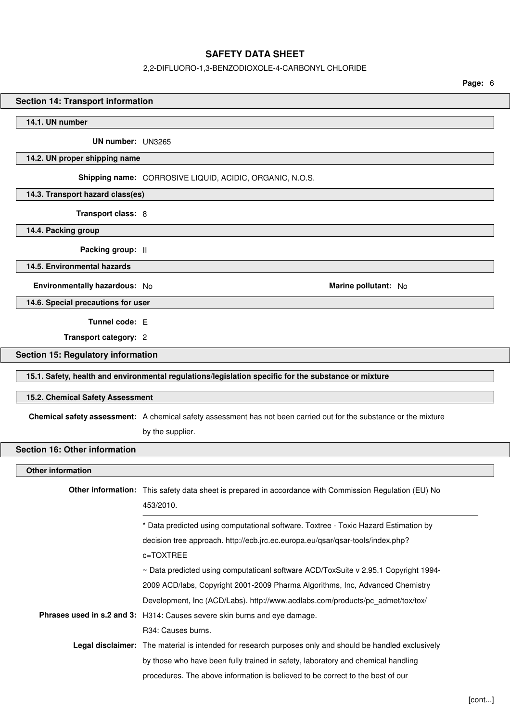#### 2,2-DIFLUORO-1,3-BENZODIOXOLE-4-CARBONYL CHLORIDE

**Page:** 6

# **Section 14: Transport information 14.1. UN number UN number:** UN3265 **14.2. UN proper shipping name Shipping name:** CORROSIVE LIQUID, ACIDIC, ORGANIC, N.O.S. **14.3. Transport hazard class(es) Transport class:** 8 **14.4. Packing group Packing group:** II **14.5. Environmental hazards Environmentally hazardous:** No **Marine pollutant:** No **14.6. Special precautions for user Tunnel code:** E **Transport category:** 2 **Section 15: Regulatory information 15.1. Safety, health and environmental regulations/legislation specific for the substance or mixture 15.2. Chemical Safety Assessment Chemical safety assessment:** A chemical safety assessment has not been carried out for the substance or the mixture by the supplier. **Section 16: Other information Other information Other information:** This safety data sheet is prepared in accordance with Commission Regulation (EU) No 453/2010. \* Data predicted using computational software. Toxtree - Toxic Hazard Estimation by decision tree approach. http://ecb.jrc.ec.europa.eu/qsar/qsar-tools/index.php? c=TOXTREE ~ Data predicted using computatioanl software ACD/ToxSuite v 2.95.1 Copyright 1994- 2009 ACD/labs, Copyright 2001-2009 Pharma Algorithms, Inc, Advanced Chemistry Development, Inc (ACD/Labs). http://www.acdlabs.com/products/pc\_admet/tox/tox/ **Phrases used in s.2 and 3:** H314: Causes severe skin burns and eye damage. R34: Causes burns. **Legal disclaimer:** The material is intended for research purposes only and should be handled exclusively by those who have been fully trained in safety, laboratory and chemical handling procedures. The above information is believed to be correct to the best of our